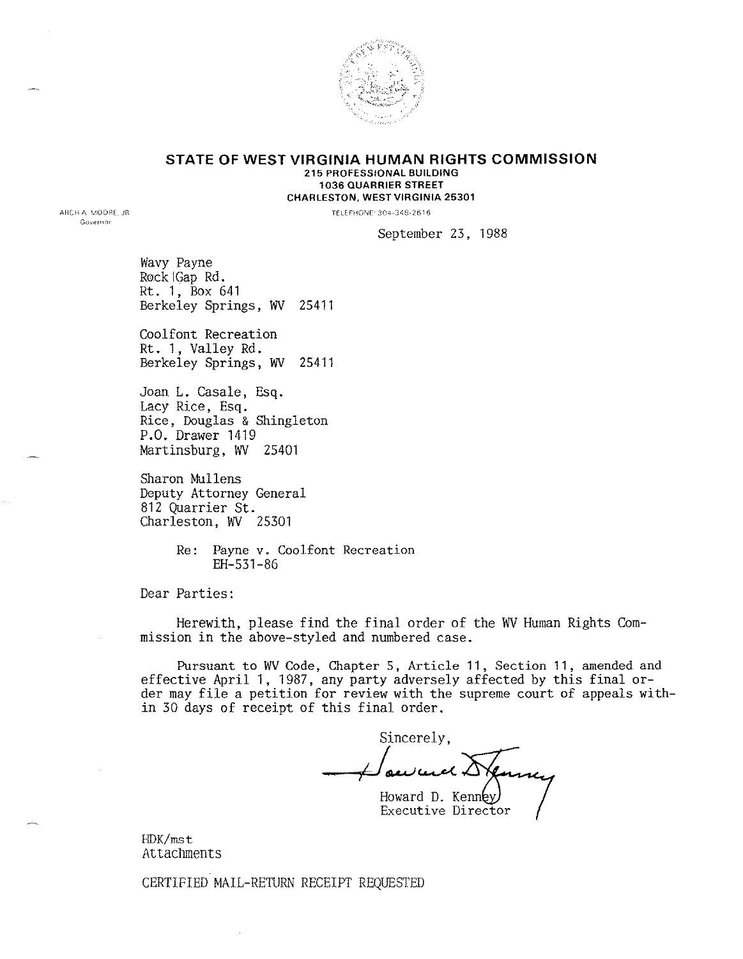

#### **STATE OF WEST VIRGINIA HUMAN RIGHTS COMMISSION** 215 PROFESSIONAL BUILDING 1036 QUARRIER STREET CHARLESTON. WEST VIRGINIA 25301

TELEPHONE 304-348-2616

September 23, 1988

Wavy Payne Rock Gap Rd. Rt. 1, Box 641 Berkeley Springs, WV 25411

Coolfont Recreation Rt. 1, Valley Rd. Berkeley Springs, WV 25411

Joan L. Casale, Esq. Lacy Rice, Esq. Rice, Douglas & Shingleton P.O. Drawer 1419 Martinsburg, WV 25401

Sharon Mullens Deputy Attorney General 812 Quarrier St. Charleston, WV 25301

> Re: Payne v. Coolfont Recreation EH-531-86

Dear Parties:

Herewith, please find the final order of the WV Human Rights Commission in the above-styled and numbered case.

Pursuant to WV Code, Chapter 5, Article 11, Section 11, amended and effective April 1, 1987, any party adversely affected by this final order may file a petition for review with the supreme court of appeals within 30 days of receipt of this final order.

Sincerely, ~~~ Howard D. Kenn Executive Director

HDK/mst Attachments

CERTIFIED MAIL-RETURN RECEIPT REQUESTED

ARCH A MOORE. JR Governor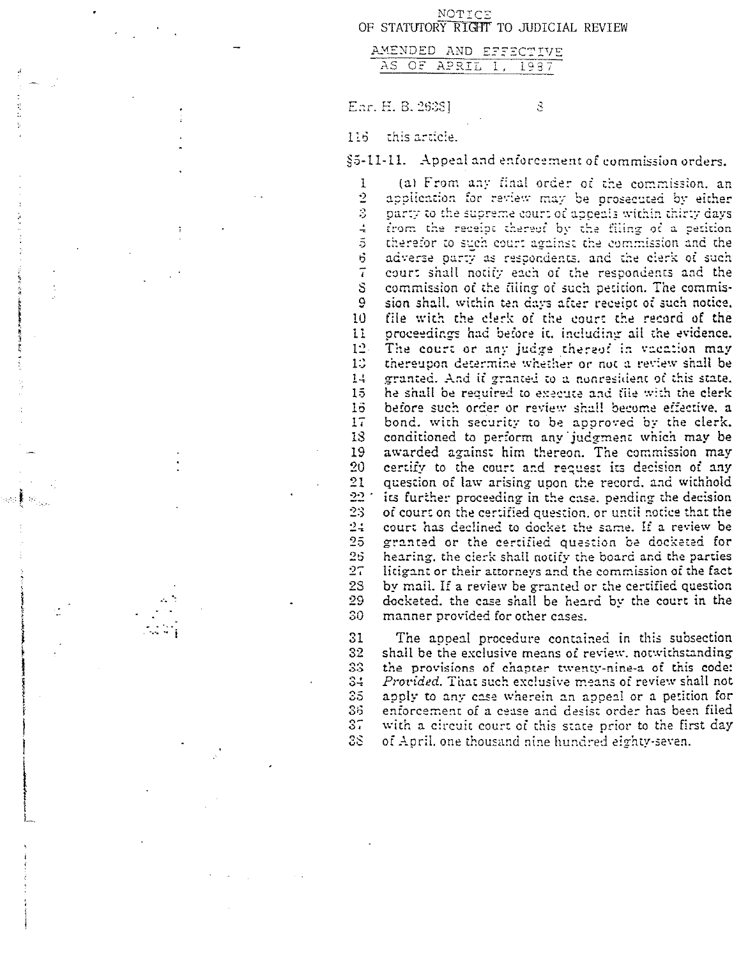NOTICE OF STATUTORY RIGHT TO JUDICIAL REVIEW

|  |  |        |  |  | we . |  | v | Ч |
|--|--|--------|--|--|------|--|---|---|
|  |  | ------ |  |  |      |  |   |   |

Enr. H. B. 2628]

 $\mathcal{Z}$ 

#### 116 this article.

 $\tau$ S

 $\mathfrak{S}$ 

23 29 30

 $25$  $25$  $27\,$ 

ti di Alban

. . .. ~

1~

t

tion of the compact of the compact of the compact of the compact of the compact of the compact of the compact of the compact of the compact of the compact of the compact of the compact of the compact of the compact of the

IIL

 $\S$ 5-11-11.  $\,$  Appeal and enforcement of commission order:

(a) From any final order of the commission, an  $\frac{1}{2}$ application for review may be prosecuted by either S. party to the supreme court of appeals within thirty days  $\overline{\textbf{r}}$  the receipt thereof by the filing of a petition ÷ therefor to such court against the commission and the  $\overline{5}$ adverse party as respondents, and the clerk of such court shall notify each or' the respondents and the commission of the filing of such petition. The commis-9 sion shall, within ten days after receipt of such notice. 10 file with the clerk of the court the record of the 11 proceedings had before it, including all the evidence The court or any judge thereof in vacation may  $1<sup>2</sup>$  $1.5$ thereupon determine whether or not a review shall be granted. And if granted to a nonresident of this state l~ 15 he shall be required to execute and file with the clerk 16 – before such order or review shall become effective, a 17 bond. with security to be approved by the clerk. 18 conditioned to perform any judgment which may be 19 awarded against him thereon. The commission may 20 certify to the court and recuest its decision of any 21 question of law arising upon the record. and withhold  $22$   $^{\circ}$  its further proceeding in the case. pending the decision 23 of court on the certified question, or until notice that the  $24-$  court has declined to docket the same. If a review be granted or the certified question be docketed for hearing, the cierk shall notify the board and the parties litig ant or their attorneys and the commission of the fact by mail. If a review be granted or the certified question docketed, the case shall be heard by the court in the manner provided for other cases.

The appeal procedure contained in this subsection shall be the exclusive means of review. notwithstanding the provisions of chapter twenty-nine-a of this code: *Procided.* That such exclusive means or review shall not apply to any case wherein an appeal or a petition far enforcement of a cease and desist order has been filed with a circuit court of this stare prior to the first day of April. one thousand nine hundred eighty-seven.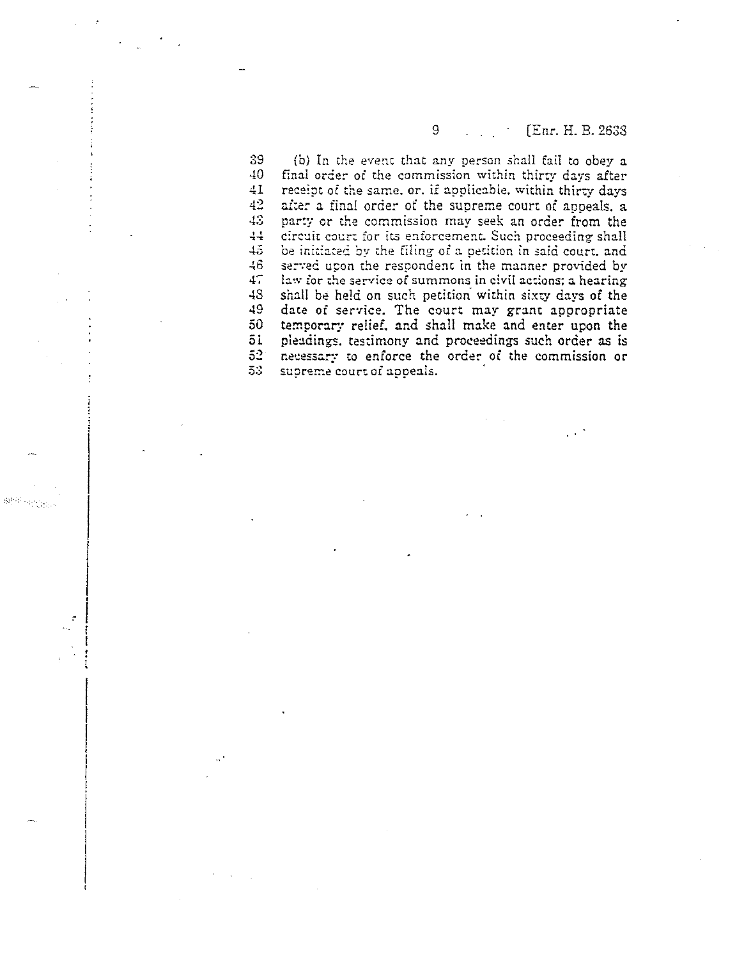# 9 [Enr. H. B. 2638]

39 (b) In the event that any person shall fail to obey a  $40$ final order or the commission within thirty days after  $\div 1$ receipt of the same. or. if applicable. within thirty days  $42$ after a final order of the supreme court of appeals, a  $4.3$ parry or the commission may seek an order from the  $\frac{1}{2}$ circuit court for its enforcement. Such proceeding shall  $+5$ be initiated by the filing of a petition in said court, and -!6 served upon the respondent in the manner provided by 47 law for the service of summons in civil actions: a hearing 48 shall be held on such petition' within sixty days of the 49 date of service, The court may grant appropriate 50 temporary relief. and shall make and enter upon the 51 pleadings. testimony and proceedings such order as is 52<br>53 necessary to enforce the order oc the commission or supreme court of appeals.

 $\mathfrak{M}^{(1)}_{\mathcal{C}} \cong \mathcal{C}^{(1)}_{\mathcal{C}(\mathcal{C})}$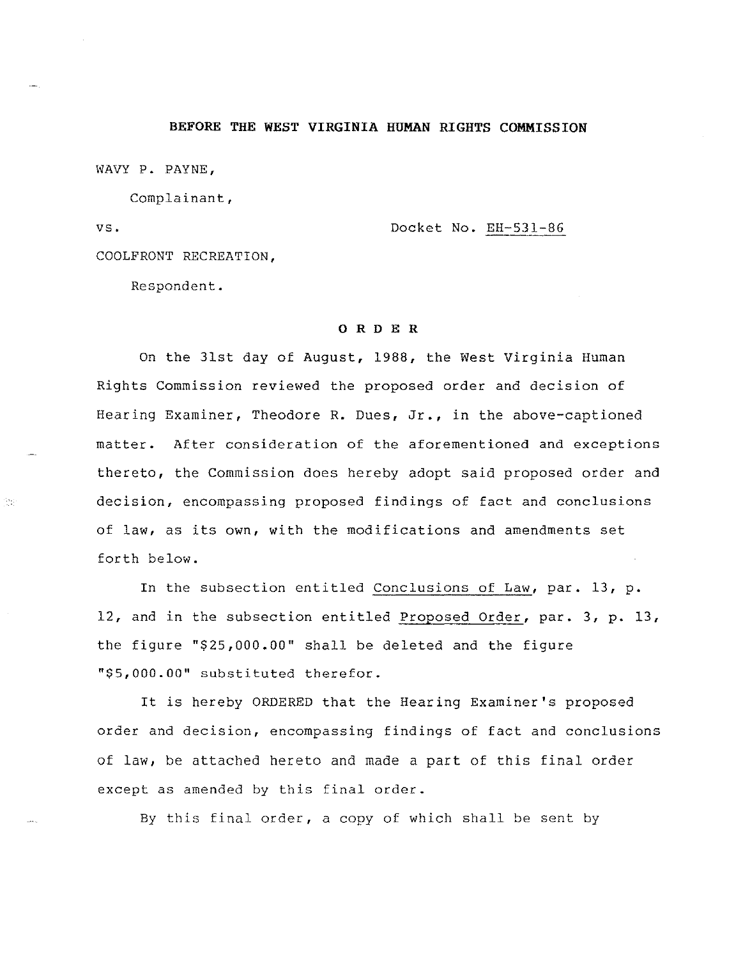# **BEFORE THE WEST VIRGINIA HUMAN RIGHTS COMMISSION**

WAVY P. PAYNE,

Complainant,

vs.

ing.<br>Se

Docket No. EH-531-86

COOLFRONT RECREATION,

Respondent.

#### o R D E R

On the 31st day of August, 1988, the West Virginia Human Rights Commission reviewed the proposed order and decision of Hearing Examiner, Theodore R. Dues, Jr., in the above-captioned matter. After consideration of the aforementioned and exceptions thereto, the Commission does hereby adopt said proposed order and decision, encompassing proposed findings of fact and conclusions of law, as its own, with the modifications and amendments set forth below.

In the SUbsection entitled Conclusions of Law, par. 13, p. 12, and in the subsection entitled Proposed Order, par. 3, p. 13, the figure "\$25,000.00" shall be deleted and the figure "\$5,000.00" substituted therefor.

It is hereby ORDERED that the Hearing Examiner's proposed order and decision, encompassing findings of fact and conclusions of law, be attached hereto and made a part of this final order except as amended by this final order.

By this final order, a copy of which shall be sent by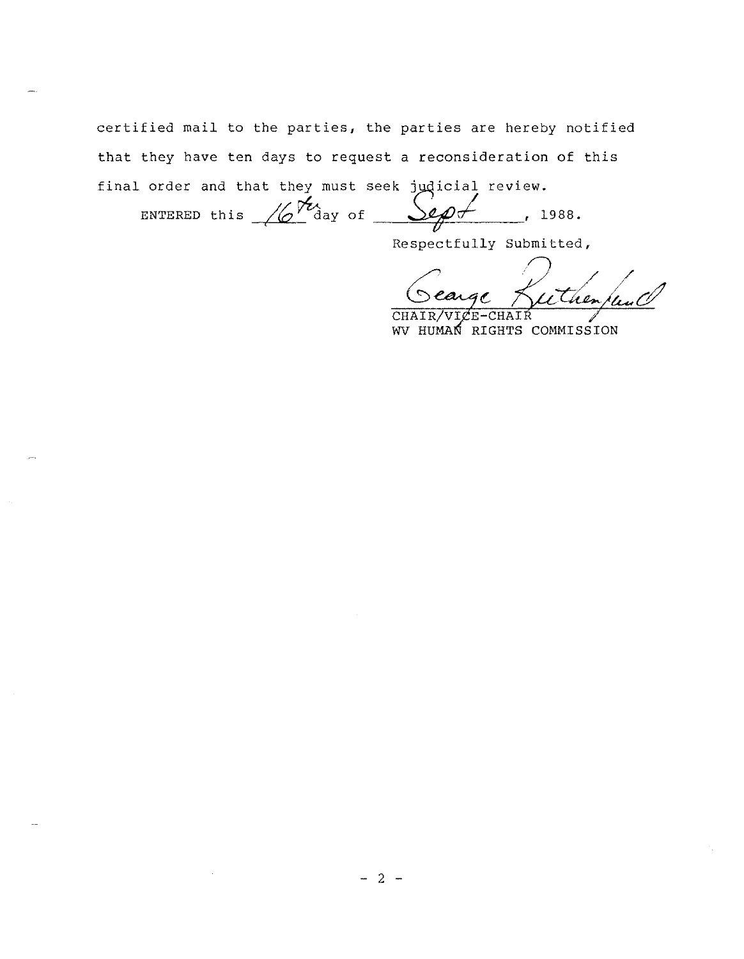certified mail to the parties, the parties are hereby notified that they have ten days to request a reconsideration of this final order and that they must seek jydicial review.

 $\frac{2e\rho f}{\sqrt{2}}$  $, 1988.$ ENTERED this <u>/6'</u> day of

Respectfully Submitted,

etherpeal rear

CHAIR **CHAIR** WV HUMAN RIGHTS COMMISSION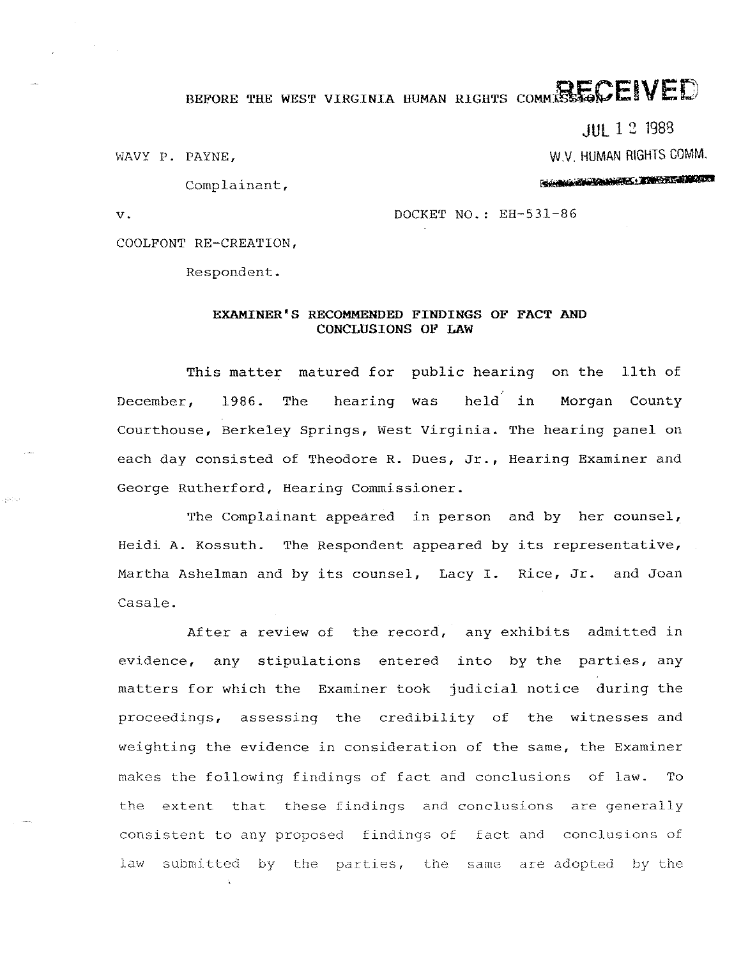# BEFORE THE WEST VIRGINIA HUMAN RIGHTS COMMISSIONE IVED

JUL 1 2 1988

W.V. HUMAN RIGHTS COMM.

WAVY P. PAYNE,

**SOUTH OF BUILDING TO A STATISTICS.** 

Complainant,

v. DOCKET NO.: EH-531-86

COOLFONT RE-CREATION,

Respondent.

# EXAMINER'S RECOMMENDED FINDINGS OF FACT AND CONCLUSIONS OF LAW

This matter matured for public hearing on the 11th of December, 1986. The hearing was held in Morgan County Courthouse, Berkeley Springs, west Virginia. The hearing panel on each day consisted of Theodore R. Dues, Jr., Hearing Examiner and George Rutherford, Hearing Commissioner.

The Complainant appeared in person and by her counsel, Heidi A. Kossuth. The Respondent appeared by its representative, Martha Ashelman and by its counsel, Lacy I. Rice, Jr. and Joan Casale.

After a review of the record, any exhibits admitted in evidence, any stipulations entered into by the parties, any matters for which the Examiner took judicial notice during the proceedings, assessing the credibility of the witnesses and weighting the evidence in consideration of the same, the Examiner makes the following findings of fact and conclusions of law. To the extent that these findings and conclusions are generally consistent to any proposed findings of fact and conclusions of law submitted by the parties, the same are adopted by the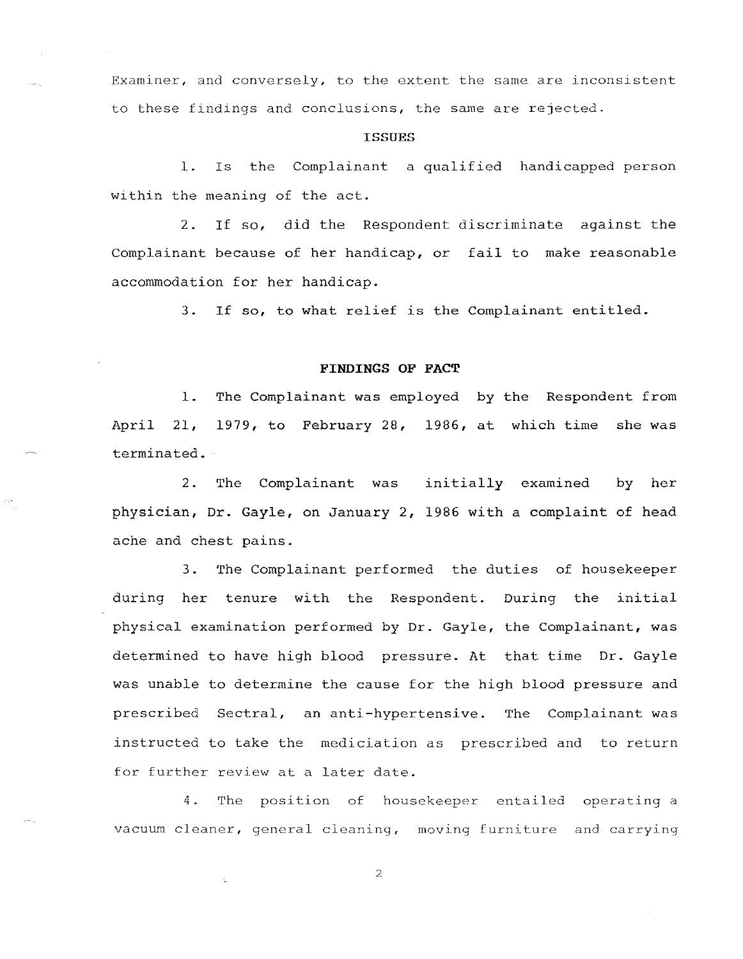Examiner, and conversely, to the extent the same are inconsistent to these findings and conclusions, the same are rejected.

# **ISSUES**

1. Is the Complainant a qualified handicapped person within the meaning of the act.

2. If so, did the Respondent discriminate against the Complainant because of her handicap, or fail to make reasonable accommodation for her handicap.

3. If so, to what relief is the Complainant entitled.

#### **FINDINGS OF FACT**

1. The Complainant was employed by the Respondent from April 21, 1979, to February 28, 1986, at which time she was terminated.

2. The Complainant was initially examined by her physician, Dr. Gayle, on January 2, 1986 with a complaint of head ache and chest pains.

3. The Complainant performed the duties of housekeeper during her tenure with the Respondent. During the initial physical examination performed by Dr. Gayle, the Complainant, was determined to have high blood pressure. At that time Dr. Gayle was unable to determine the cause for the high blood pressure and prescribed Sectral, an anti-hypertensive. The Complainant was instructed to take the mediciation as prescribed and to return for further review at a later date.

4. The position of housekeeper entailed operating a vacuum cleaner, general cleaning, moving furniture and carrying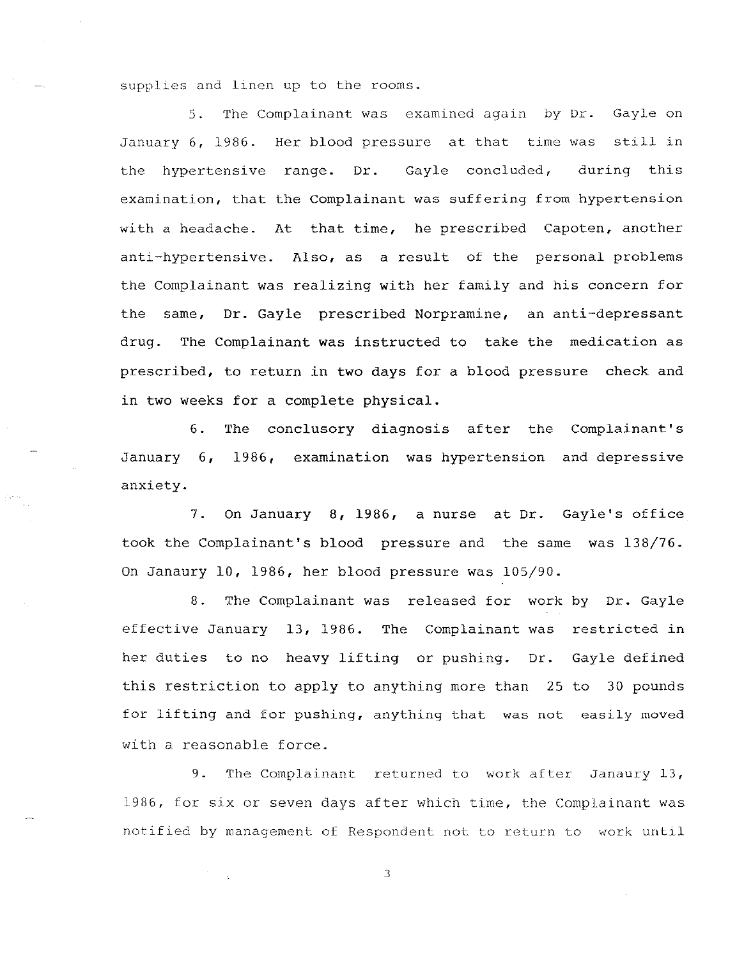supplies and linen up to the rooms.

5. The Complainant was examined again by Dr. Gayle on January 6, 1986. Her blood pressure at that time was still in the hypertensive range. Dr. Gayle concluded, during this examination, that the Complainant was suffering from hypertension with a headache. At that time, he prescribed Capoten, another anti-hypertensive. Also, as a result of the personal problems the Complainant was realizing with her family and his concern for the same, Dr. Gayle prescribed Norpramine, an anti-depressant drug. The Complainant was instructed to take the medication as prescribed, to return in two days for a blood pressure check and in two weeks for a complete physical.

6. The conclusory diagnosis after the Complainant's January 6, 1986, examination was hypertension and depressive anxiety.

7. On January 8, 1986, a nurse at Dr. Gayle's office took the Complainant's blood pressure and the same was 138/76. On Janaury 10, 1986, her blood pressure was 105/90.

8. The Complainant was released for work by Dr. Gayle effective January 13, 1986. The Complainant was restricted in her duties to no heavy lifting or pushing. Dr. this restriction to apply to anything more than 25 to 30 pounds Gayle defined for lifting and for pushing, anything that was not easily moved with a reasonable force.

9. The Complainant returned to work after Janaury 13, 1986, for six or seven days after which time, the Complainant was notified by management of Respondent not to return to work until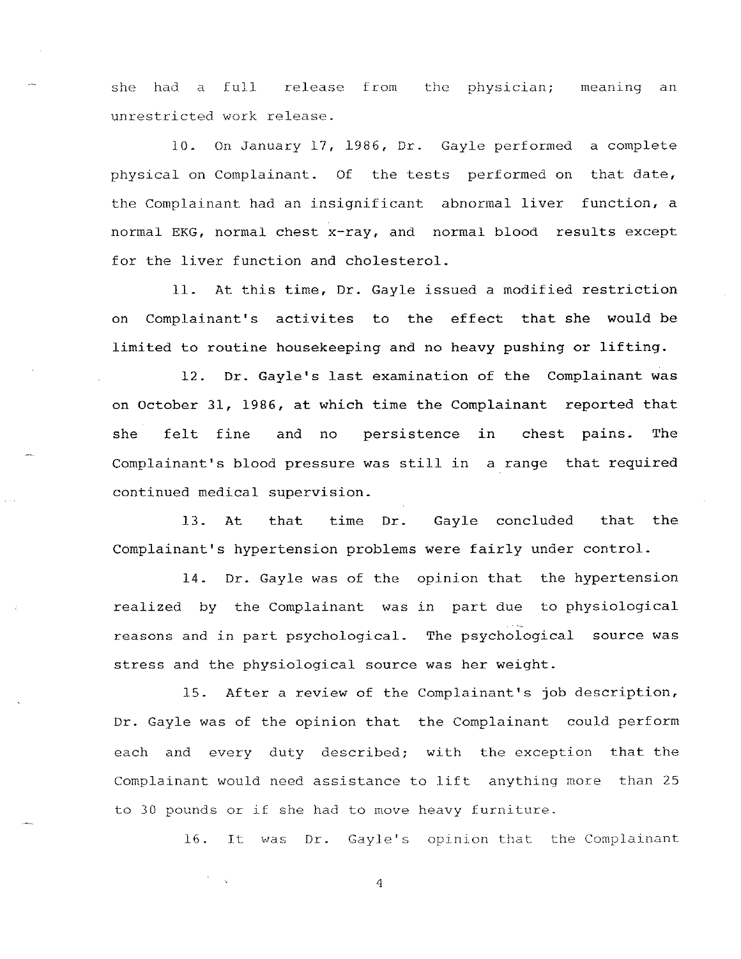she had a full release from the physician; meaning an unrestricted work release.

10. On January 17, 1986, Dr. Gayle performed a complete physical on Complainant. Of the tests performed on that date, the Complainant had an insignificant abnormal liver function, a normal EKG, normal chest x-ray, and normal blood results except for the liver function and cholesterol.

11. At this time, Dr. Gayle issued a modified restriction on Complainant's activites to the effect that she would be limited to routine housekeeping and no heavy pushing or lifting.

12. Dr. Gayle's last examination of the Complainant was on October 31, 1986, at which time the Complainant reported that she felt fine and no persistence in chest pains. The Complainant's blood pressure was still in a range that required continued medical supervision.

13. At that time Dr. Gayle concluded that the Complainant's hypertension problems were fairly under control.

14. Dr. Gayle was of the opinion that the hypertension realized by the Complainant was in part due to physiological reasons and in part psychological. The psychological source was stress and the physiological source was her weight.

15. After a review of the Complainant's job description, Dr. Gayle was of the opinion that the Complainant could perform each and every duty described; with the exception that the Complainant would need assistance to lift anything more than 25 to 30 pounds or if she had to move heavy furniture.

16. It was Dr. Gayle's opinion that the Complainant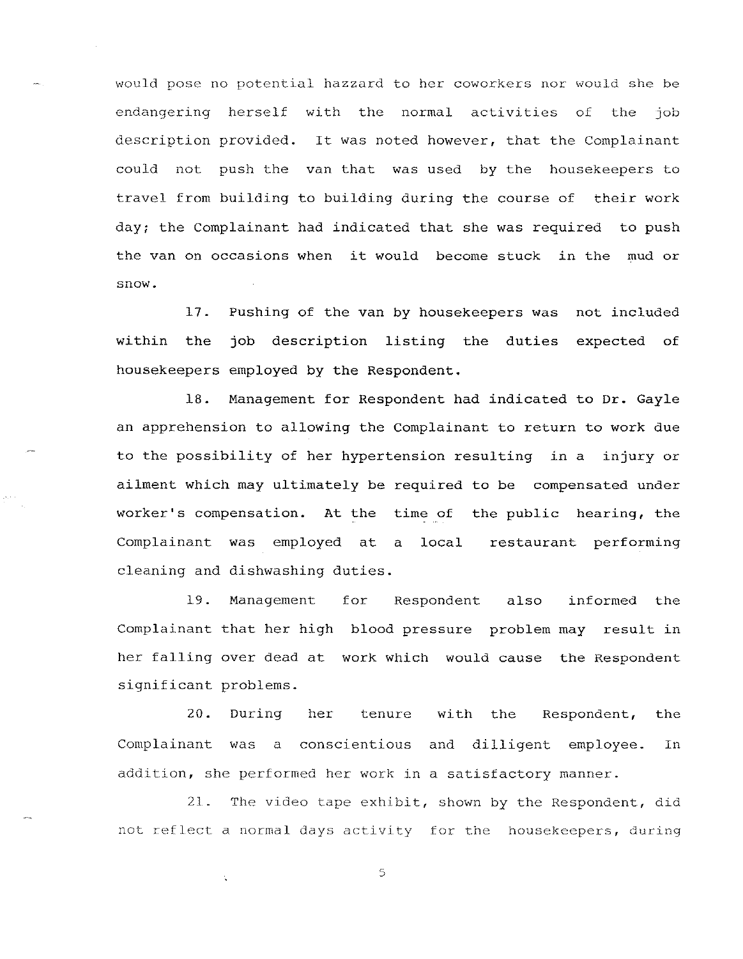would pose no potential hazzard to her coworkers nor would she be endangering herself with the normal activities of the job description provided. It was noted however, that the Complainant could not push the van that was used by the housekeepers to travel from building to building during the course of their work day; the Complainant had indicated that she was required to push the van on occasions when it would become stuck in the mud or snow.

17. Pushing of the van by housekeepers was not included within the job description listing the duties expected of housekeepers employed by the Respondent.

18. Management for Respondent had indicated to Dr. Gayle an apprehension to allowing the Complainant to return to work due to the possibility of her hypertension resulting in a injury or ailment which may ultimately be required to be compensated under worker's compensation. At the time of the public hearing, the Complainant was employed at a local restaurant performing cleaning and dishwashing duties.

19. Management for Respondent also informed the Complainant that her high blood pressure problem may result in her falling over dead at work which would cause the Respondent significant problems.

20. During her tenure with the Respondent, the Complainant was a conscientious and dilligent employee. In addition, she performed her work in a satisfactory manner.

21. The video tape exhibit, shown by the Respondent, did not reflect a normal days activity for the housekeepers, during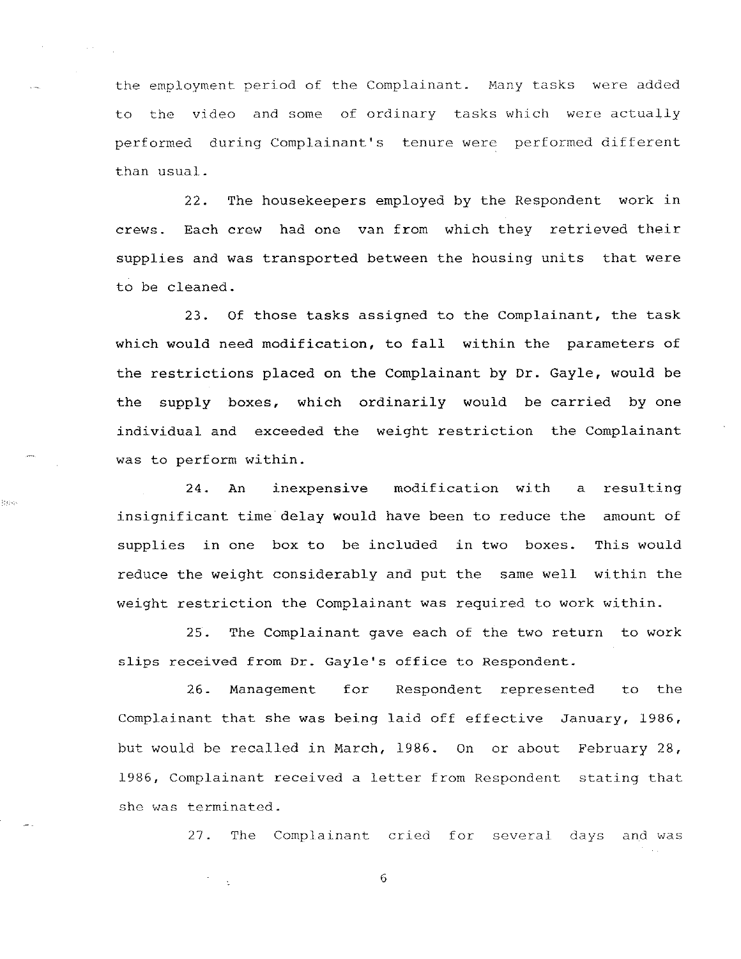the employment period of the Complainant. Many tasks were added to the video and some of ordinary tasks which were actually performed during Complainant's tenure were performed different than usual.

22. The housekeepers employed by the Respondent work in crews. Each crew had one van from which they retrieved their supplies and was transported between the housing units that were to be cleaned.

23. Of those tasks assigned to the Complainant, the task which would need modification, to fall within the parameters of the restrictions placed on the Complainant by **Dr.** Gayle, would be the supply boxes, which ordinarily would be carried by one individual and exceeded the weight restriction the Complainant was to perform within.

24. An inexpensive modification with a resulting insignificant time delay would have been to reduce the amount of supplies in one box to be included in two boxes. This would reduce the weight considerably and put the same well within the weight restriction the Complainant was required to work within.

age.

25. The Complainant gave each of the two return to work slips received from Dr. Gayle's office to Respondent.

26. Management for Respondent represented to the Complainant that she was being laid off effective January, 1986, but would be recalled in March, 1986. On or about February 28, 1986, Complainant received a letter from Respondent stating that she was terminated.

27. The Complainant cried for several days and was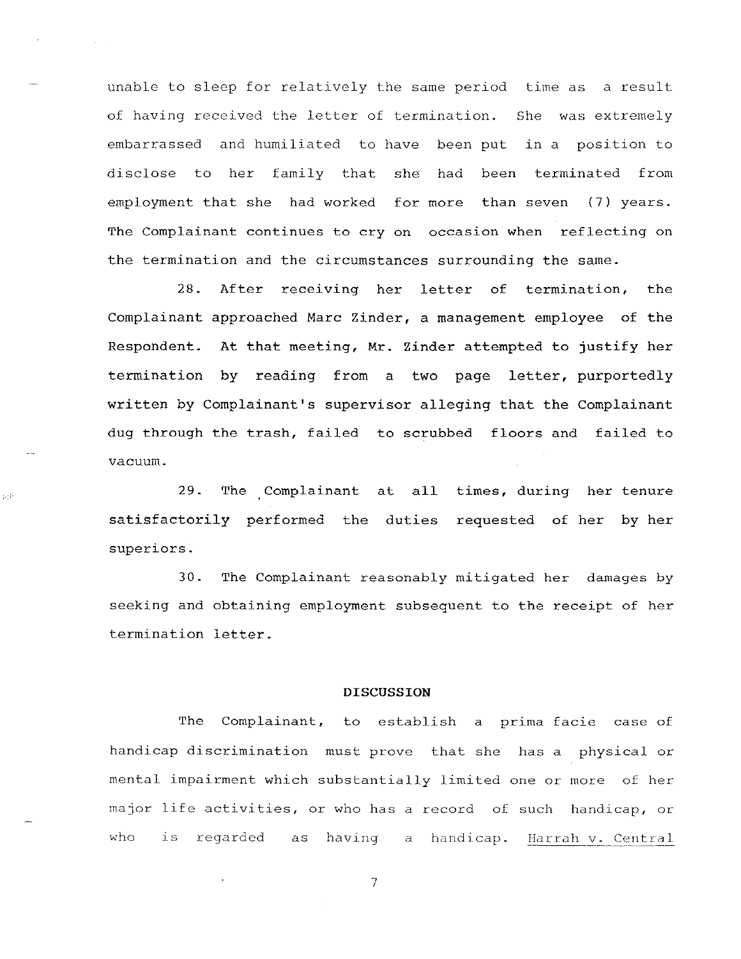unable to sleep for relatively the same period time as a result of having received the letter of termination. She was extremely embarrassed and humiliated to have been put in a position to disclose to her family that she had been terminated from employment that she had worked for more than seven (7) years. The Complainant continues to cry on occasion when reflecting on the termination and the circumstances surrounding the same.

28. After receiving her letter of termination, the Complainant approached Marc Zinder, a management employee of the Respondent. At that meeting, Mr. Zinder attempted to justify her termination by reading from a two page letter, purportedly written by Complainant's supervisor alleging that the Complainant dug through the trash, failed to scrubbed floors and failed to vacuum.

29. The Complainant at all times, during her tenure satisfactorily performed the duties requested of her by her superiors.

set

30. The Complainant reasonably mitigated her damages by seeking and obtaining employment subsequent to the receipt of her termination letter.

#### **DISCUSSION**

The Complainant, to establish a prima facie case of handicap discrimination must prove that she has a physical or mental impairment which substantially limited one or more of her major life activities, or who has a record of such handicap, or who is regarded as having a handicap. Harrah v. Central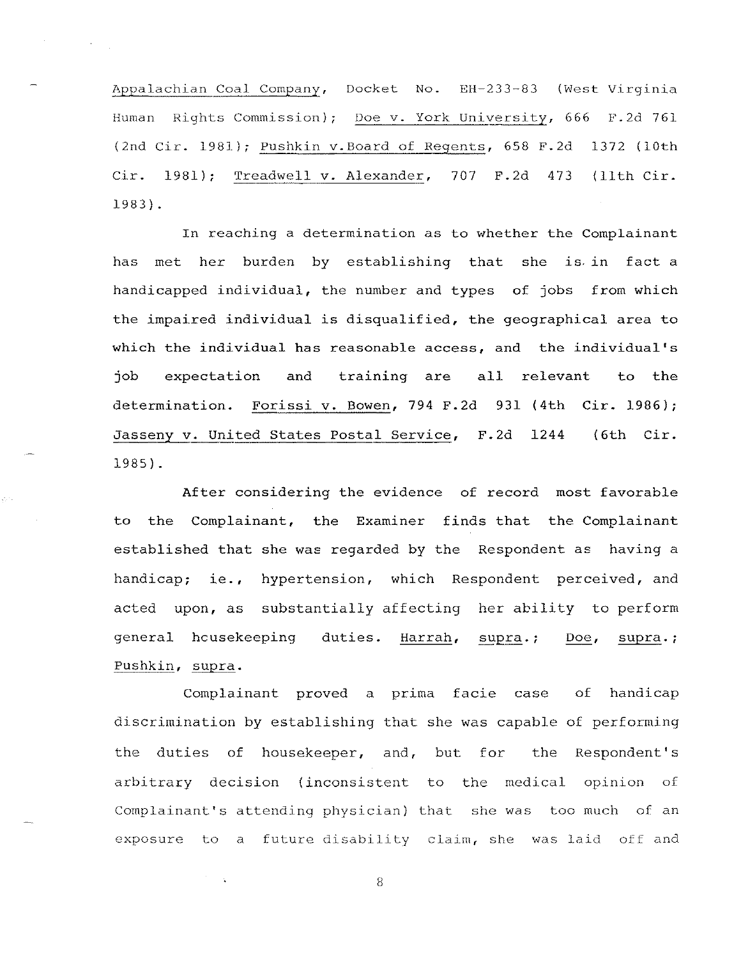Appalachian Coal Company, Docket No. EH-233-83 (West Virginia Human Rights Commission); Doe v. York University, 666 F.2d 761 (2nd Cir. 1981); Pushkin v.Board of Regents, 658 F.2d 1372 (10th Cir. 1981); Treadwell v. Alexander, 707 F.2d 473 (11th Cir. 1983).

 $\sim 40\,$  km  $^{-1}$ 

In reaching a determination as to whether the Complainant has met her burden by establishing that she is. in fact a handicapped individual, the number and types of jobs from which the impaired individual is disqualified, the geographical area to which the individual has reasonable access, and the individual's job expectation and training are all relevant to the determination. Forissi v. Bowen, 794 F.2d 931 (4th Cir. 1986); Jasseny v. United States Postal Service, F.2d 1244 1985). (6th Cir.

After considering the evidence of record most favorable to the Complainant, the Examiner finds that the Complainant established that she was regarded by the Respondent as having a handicap; ie., hypertension, which Respondent perceived, and acted upon, as substantially affecting her ability to perform general hcusekeeping duties. Harrah, supra.; Doe, supra.; Pushkin, supra.

Complainant proved a prima facie case of handicap discrimination by establishing that she was capable of performing the duties of housekeeper, and, but for the Respondent's arbitrary decision (inconsistent to the medical opinion of Complainant's attending physician) that she was too much of an exposure to a future disability claim, she was laid off and

8

 $\tau=\frac{1}{4}$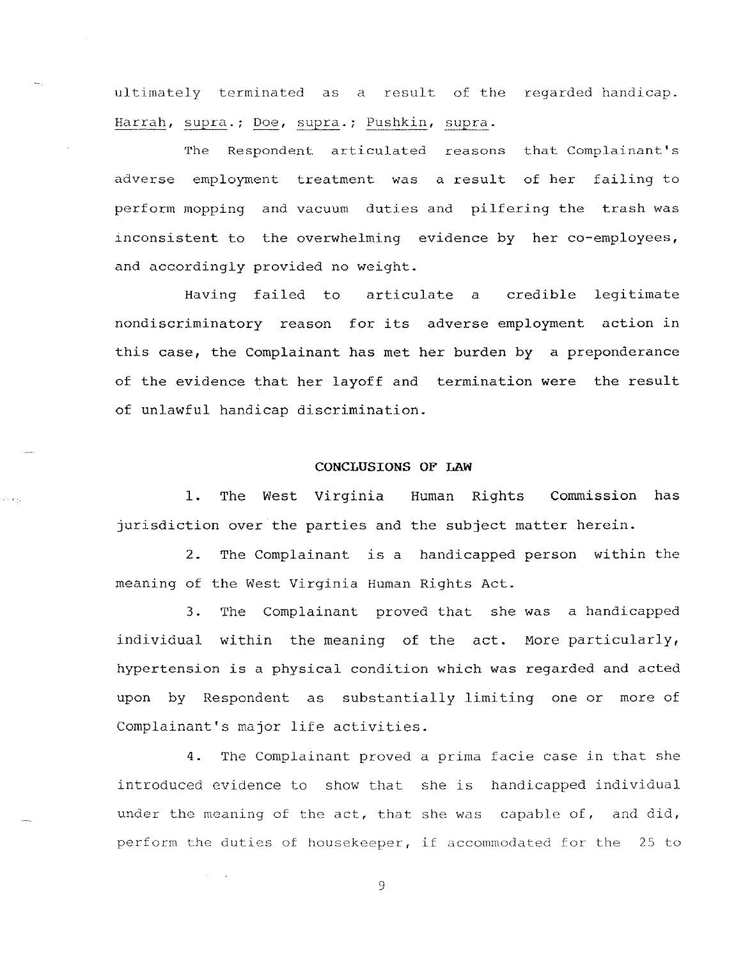ultimately terminated as a result of the regarded handicap. Harrah, supra.; Doe, supra.; Pushkin, supra.

The Respondent articulated reasons that Complainant's adverse employment treatment was a result of her failing to perform mopping and vacuum duties and pilfering the trash was inconsistent to the overwhelming evidence by her co-employees, and accordingly provided no weight.

Having failed to articulate a credible legitimate nondiscriminatory reason for its adverse employment action in this case, the Complainant has met her burden by a preponderance of the evidence that her layoff and termination were the result of unlawful handicap discrimination.

# **CONCLUSIONS OF LAW**

1. The West Virginia Human Rights Commission has jurisdiction over the parties and the subject matter herein.

2. The Complainant is a handicapped person within the meaning of the West Virginia Human Rights Act.

3. The Complainant proved that she was a handicapped individual within the meaning of the act. More particularly, hypertension is a physical condition which was regarded and acted upon by Respondent as substantially limiting one or more of Complainant's major life activities.

4. The Complainant proved a prima facie case in that she introduced evidence to show that she is handicapped individual under the meaning of the act, that she was capable of, and did, perform the duties of housekeeper, if accommodated for the 2S to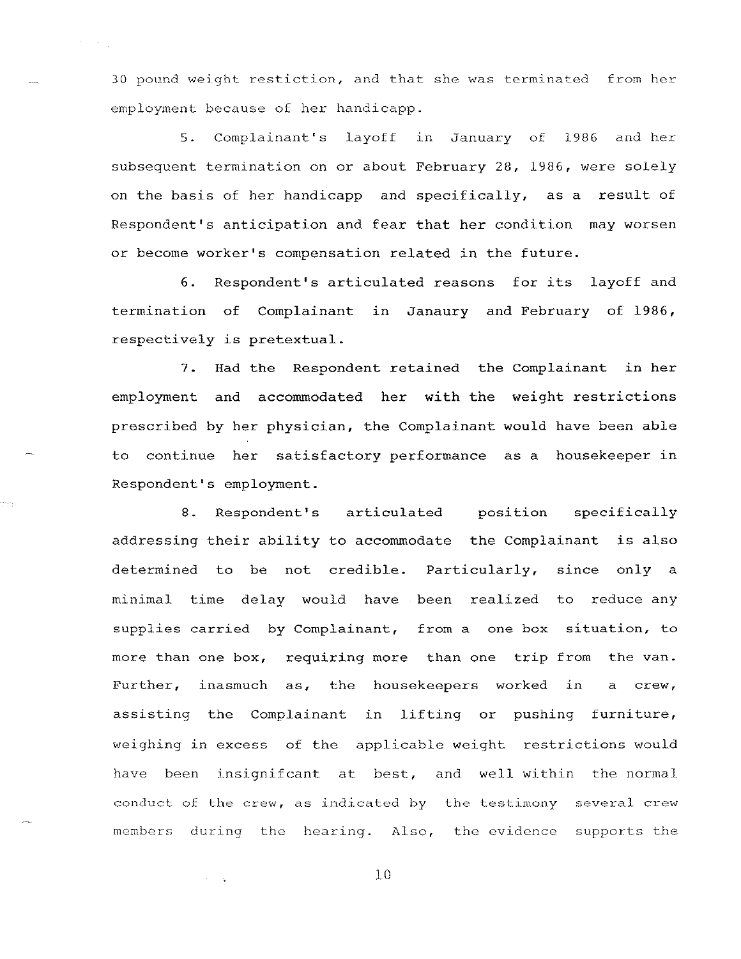30 pound weight restiction, and that she was terminated from her employment because of her handicapp.

 $\lambda_{\rm{max}}$ 

era,

5 . Complainant's layoff In January of 1986 and her subsequent termination on or about February 28, 1986, were solely on the basis of her handicapp and specifically, as a result of Respondent's anticipation and fear that her condition may worsen or become worker's compensation related in the future.

6. Respondent's articulated reasons for its layoff and termination of Complainant in Janaury and February of 1986, respectively is pretextual.

7. Had the Respondent retained the Complainant in her employment and accommodated her with the weight restrictions prescribed by her physician, the Complainant would have been able to continue her satisfactory performance as a housekeeper in Respondent's employment.

8. Respondent's articulated position specifically addressing their ability to accommodate the Complainant is also determined to be not credible. Particularly, since only a minimal time delay would have been realized to reduce any supplies carried by Complainant, from a one box situation, to more than one box, requiring more than one trip from the van. Further, inasmuch as, the housekeepers worked in a crew, assisting the Complainant in lifting or pushing furniture, weighing in excess of the applicable weight restrictions would have been insignifcant at best, and well within the normal conduct of the crew, as indicated by the testimony several crew members during the hearing. Also, the evidence supports the

10

 $\sim$   $\sim$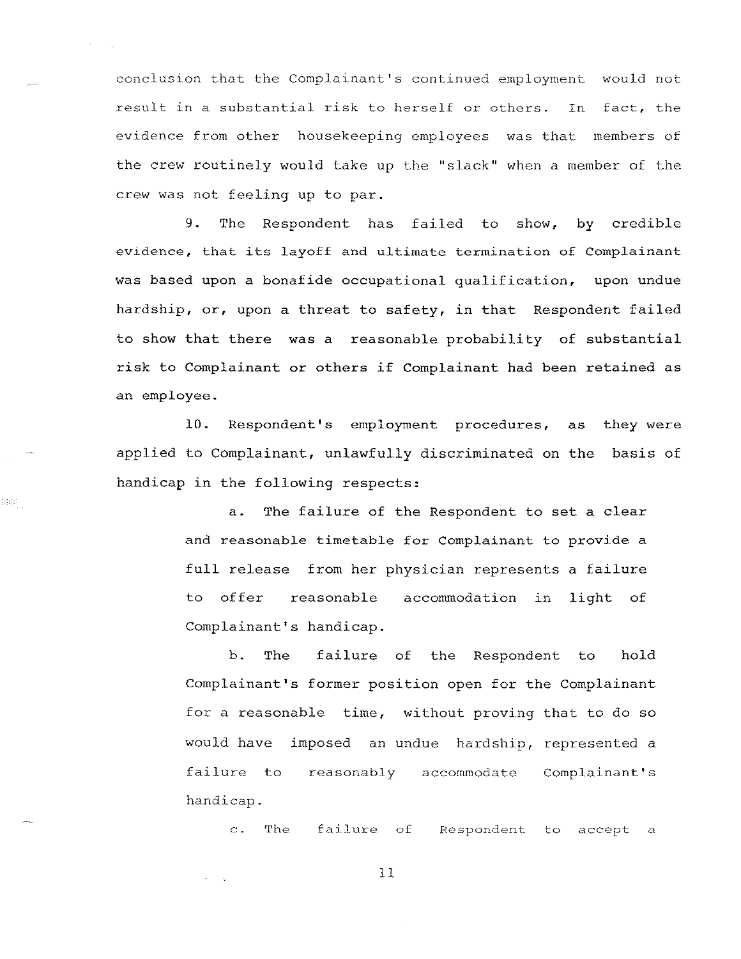conclusion that the Complainant's continued employment would not result in a substantial risk to herself or others. In fact, the evidence from other housekeeping employees was that members of the crew routinely would take up the "slack" when a member of the crew was not feeling up to par.

9. The Respondent has failed to show, by credible evidence, that its layoff and ultimate termination of Complainant was based upon a bonafide occupational qualification, upon undue hardship, or, upon a threat to safety, in that Respondent failed to show that there was a reasonable probability of substantial risk to Complainant or others if Complainant had been retained as an employee.

10. Respondent's employment procedures, applied to Complainant, unlawfully discriminated on the basis of handicap in the following respects: as they were

 $\mathcal{G}\left( \mathcal{G}\right)$ 

a. The failure of the Respondent to set a clear and reasonable timetable for Complainant to provide a full release from her physician represents a failure to offer reasonable accommodation in light of Complainant's handicap.

b. The failure of the Respondent to hold Complainant's former position open for the Complainant for a reasonable time, without proving that to do so would have imposed an undue hardship, represented a failure to handicap. reasonably accommodate Complainant's

c. The failure of Respondent to accept a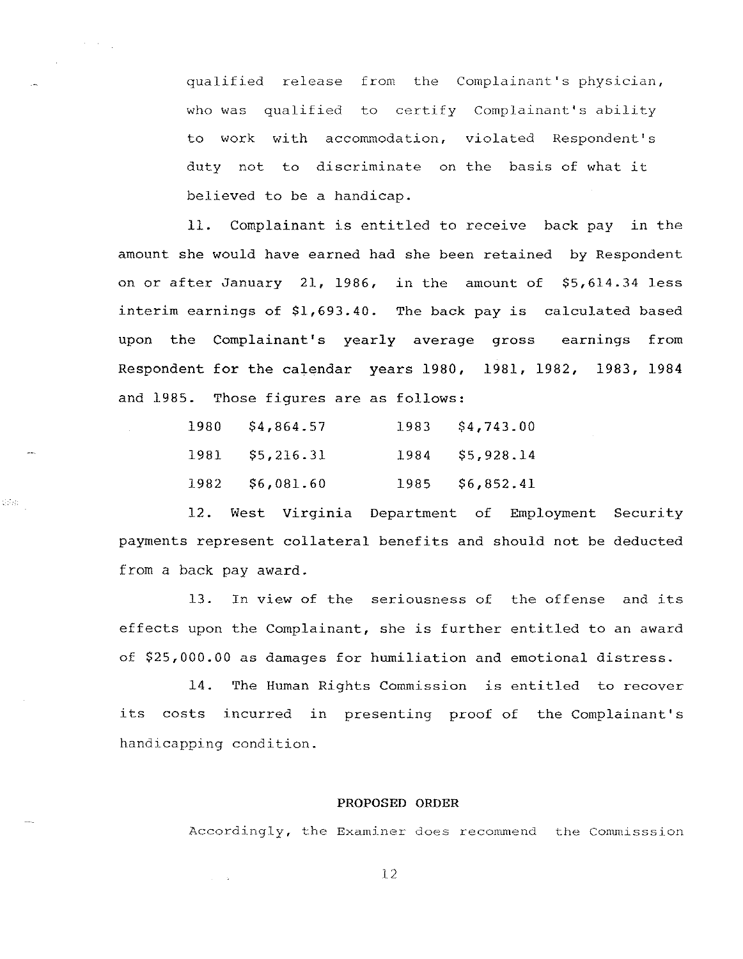qualified release from the Complainant's physician, who was qualified to certify Complainant's ability to work with accommodation, violated Respondent's duty not to discriminate on the basis of what it believed to be a handicap.

11. Complainant is entitled to receive back pay in the amount she would have earned had she been retained by Respondent on or after January 21, 1986, in the amount of \$5,614.34 less interim earnings of \$1,693.40. The back pay is calculated based upon the Complainant's yearly average gross earnings from Respondent for the calendar years 1980, 1981, 1982, 1983, 1984 and 1985. Those figures are as follows:

| 1980 | \$4,864.57 | 1983 | \$4,743.00 |
|------|------------|------|------------|
| 1981 | \$5,216.31 | 1984 | \$5,928.14 |
| 1982 | \$6,081.60 | 1985 | \$6,852.41 |

 $\langle \cdot, \cdot \rangle_{\mathcal{G}}$ 

12. West Virginia Department of Employment Security payments represent collateral benefits and should not be deducted from a back pay award.

13. In view of the seriousness of the offense and its effects upon the Complainant, she is further entitled to an award of \$25,000.00 as damages for humiliation and emotional distress.

14. The Human Rights Commission is entitled to recover its costs incurred in presenting proof of the Complainant's handicapping condition.

#### PROPOSED ORDER

Accordingly, the Examiner does recommend the Commisssion

12

 $\omega = -\infty$